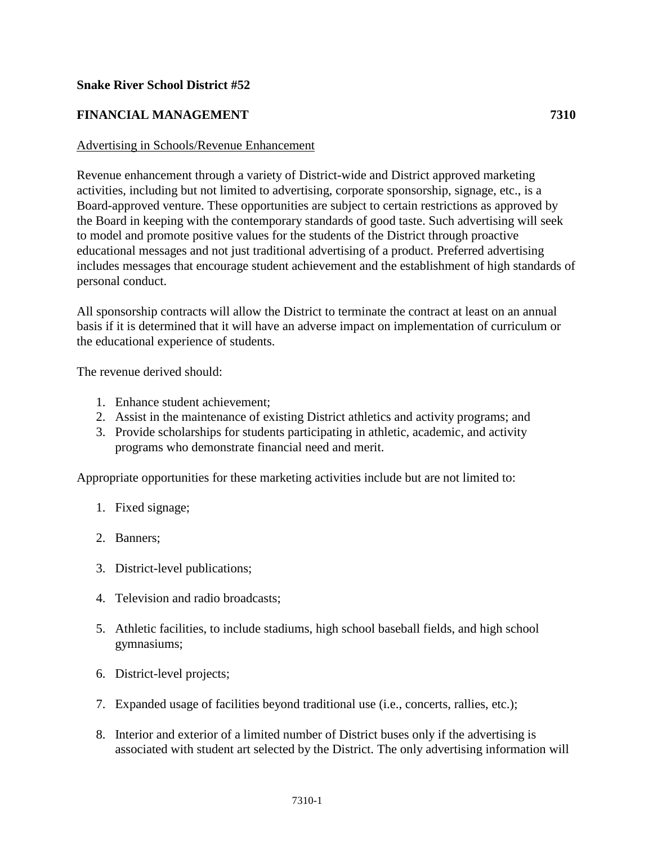## **Snake River School District #52**

## **FINANCIAL MANAGEMENT 7310**

#### Advertising in Schools/Revenue Enhancement

Revenue enhancement through a variety of District-wide and District approved marketing activities, including but not limited to advertising, corporate sponsorship, signage, etc., is a Board-approved venture. These opportunities are subject to certain restrictions as approved by the Board in keeping with the contemporary standards of good taste. Such advertising will seek to model and promote positive values for the students of the District through proactive educational messages and not just traditional advertising of a product. Preferred advertising includes messages that encourage student achievement and the establishment of high standards of personal conduct.

All sponsorship contracts will allow the District to terminate the contract at least on an annual basis if it is determined that it will have an adverse impact on implementation of curriculum or the educational experience of students.

The revenue derived should:

- 1. Enhance student achievement;
- 2. Assist in the maintenance of existing District athletics and activity programs; and
- 3. Provide scholarships for students participating in athletic, academic, and activity programs who demonstrate financial need and merit.

Appropriate opportunities for these marketing activities include but are not limited to:

- 1. Fixed signage;
- 2. Banners;
- 3. District-level publications;
- 4. Television and radio broadcasts;
- 5. Athletic facilities, to include stadiums, high school baseball fields, and high school gymnasiums;
- 6. District-level projects;
- 7. Expanded usage of facilities beyond traditional use (i.e., concerts, rallies, etc.);
- 8. Interior and exterior of a limited number of District buses only if the advertising is associated with student art selected by the District. The only advertising information will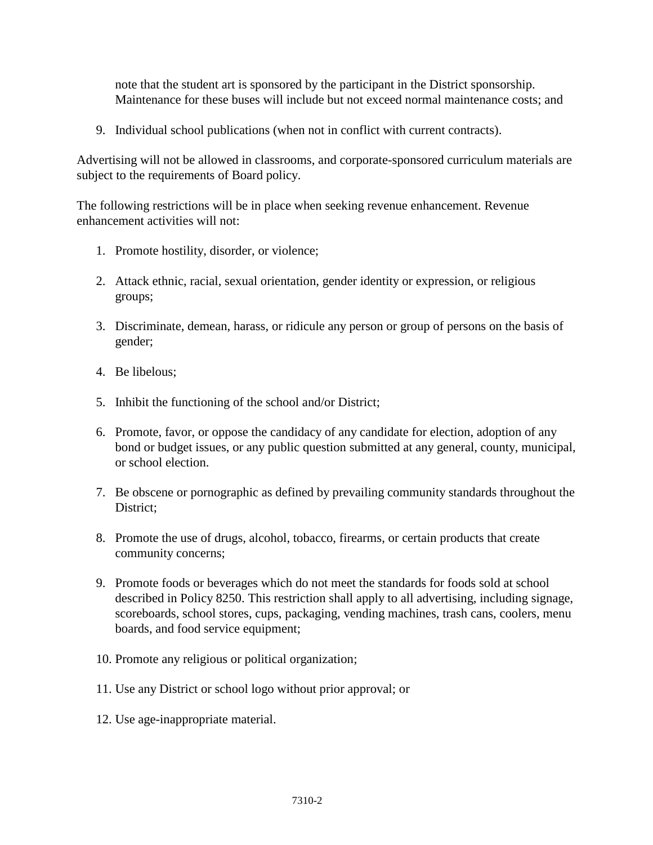note that the student art is sponsored by the participant in the District sponsorship. Maintenance for these buses will include but not exceed normal maintenance costs; and

9. Individual school publications (when not in conflict with current contracts).

Advertising will not be allowed in classrooms, and corporate-sponsored curriculum materials are subject to the requirements of Board policy.

The following restrictions will be in place when seeking revenue enhancement. Revenue enhancement activities will not:

- 1. Promote hostility, disorder, or violence;
- 2. Attack ethnic, racial, sexual orientation, gender identity or expression, or religious groups;
- 3. Discriminate, demean, harass, or ridicule any person or group of persons on the basis of gender;
- 4. Be libelous;
- 5. Inhibit the functioning of the school and/or District;
- 6. Promote, favor, or oppose the candidacy of any candidate for election, adoption of any bond or budget issues, or any public question submitted at any general, county, municipal, or school election.
- 7. Be obscene or pornographic as defined by prevailing community standards throughout the District;
- 8. Promote the use of drugs, alcohol, tobacco, firearms, or certain products that create community concerns;
- 9. Promote foods or beverages which do not meet the standards for foods sold at school described in Policy 8250. This restriction shall apply to all advertising, including signage, scoreboards, school stores, cups, packaging, vending machines, trash cans, coolers, menu boards, and food service equipment;
- 10. Promote any religious or political organization;
- 11. Use any District or school logo without prior approval; or
- 12. Use age-inappropriate material.